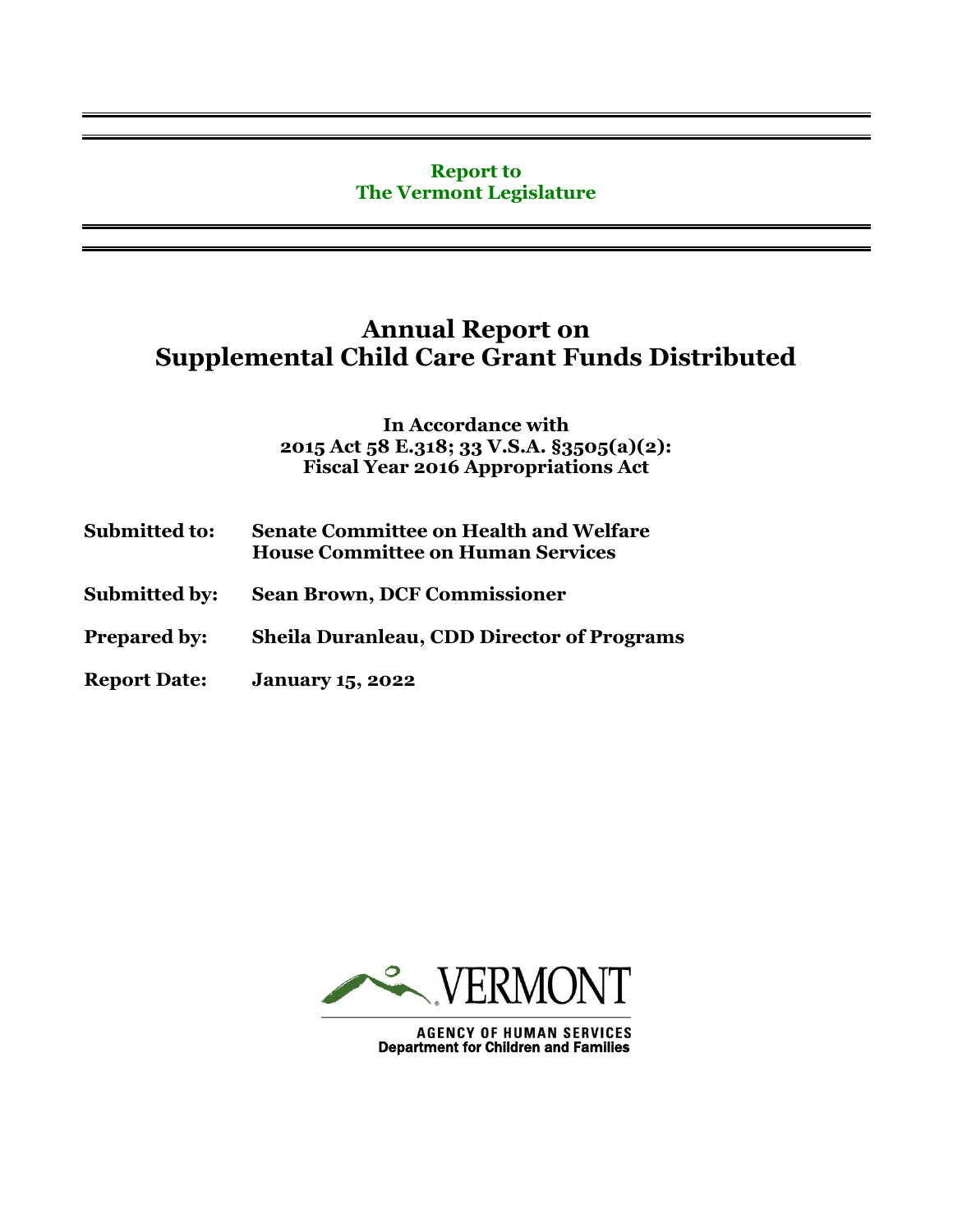#### **Report to The Vermont Legislature**

# **Annual Report on Supplemental Child Care Grant Funds Distributed**

**In Accordance with 2015 Act 58 E.318; 33 V.S.A. §3505(a)(2): Fiscal Year 2016 Appropriations Act**

| <b>Submitted to:</b> | <b>Senate Committee on Health and Welfare</b><br><b>House Committee on Human Services</b> |  |
|----------------------|-------------------------------------------------------------------------------------------|--|
| <b>Submitted by:</b> | <b>Sean Brown, DCF Commissioner</b>                                                       |  |
| <b>Prepared by:</b>  | <b>Sheila Duranleau, CDD Director of Programs</b>                                         |  |
| <b>Report Date:</b>  | <b>January 15, 2022</b>                                                                   |  |



**AGENCY OF HUMAN SERVICES**<br>Department for Children and Families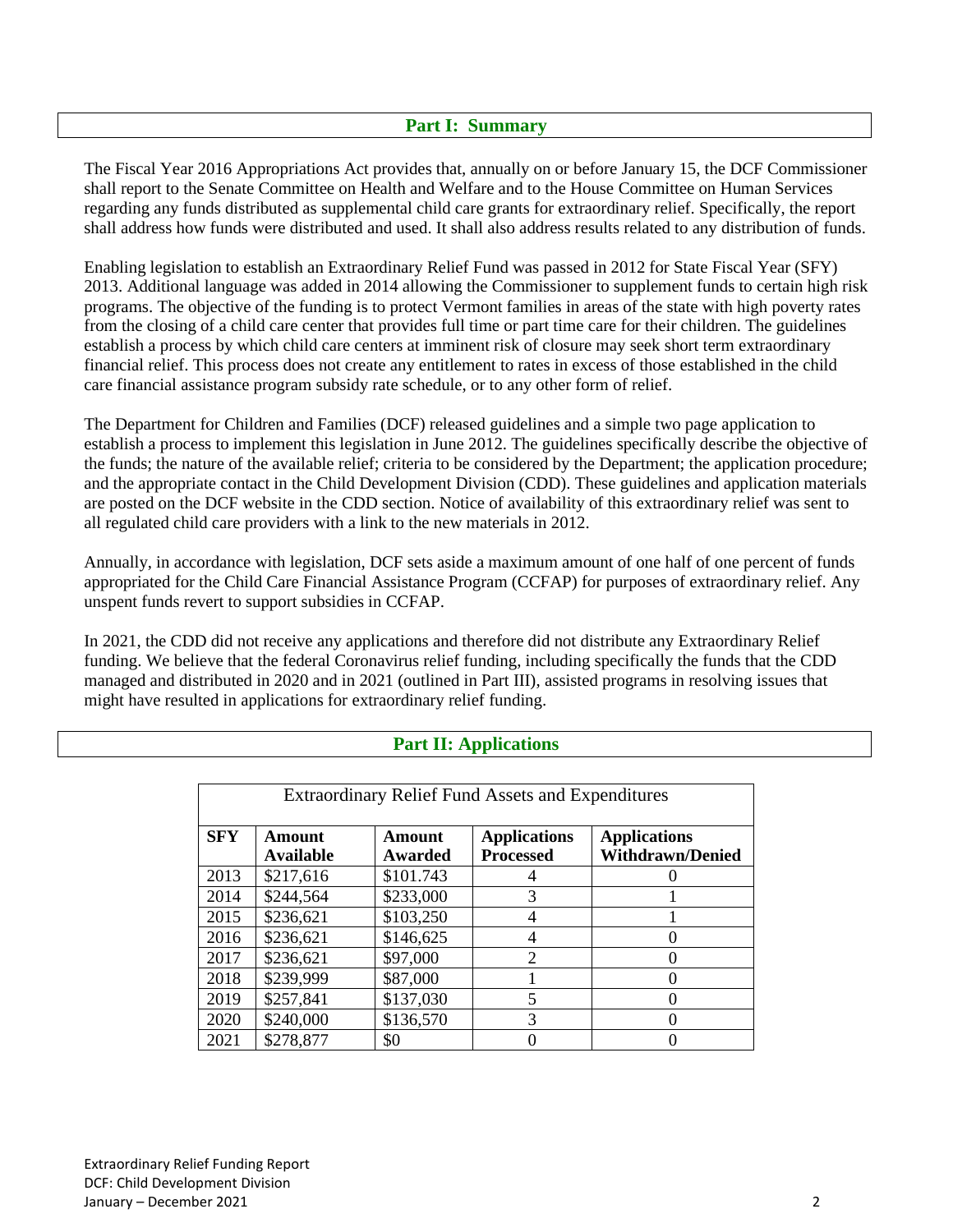#### **Part I: Summary**

The Fiscal Year 2016 Appropriations Act provides that, annually on or before January 15, the DCF Commissioner shall report to the Senate Committee on Health and Welfare and to the House Committee on Human Services regarding any funds distributed as supplemental child care grants for extraordinary relief. Specifically, the report shall address how funds were distributed and used. It shall also address results related to any distribution of funds.

Enabling legislation to establish an Extraordinary Relief Fund was passed in 2012 for State Fiscal Year (SFY) 2013. Additional language was added in 2014 allowing the Commissioner to supplement funds to certain high risk programs. The objective of the funding is to protect Vermont families in areas of the state with high poverty rates from the closing of a child care center that provides full time or part time care for their children. The guidelines establish a process by which child care centers at imminent risk of closure may seek short term extraordinary financial relief. This process does not create any entitlement to rates in excess of those established in the child care financial assistance program subsidy rate schedule, or to any other form of relief.

The Department for Children and Families (DCF) released guidelines and a simple two page application to establish a process to implement this legislation in June 2012. The guidelines specifically describe the objective of the funds; the nature of the available relief; criteria to be considered by the Department; the application procedure; and the appropriate contact in the Child Development Division (CDD). These guidelines and application materials are posted on the DCF website in the CDD section. Notice of availability of this extraordinary relief was sent to all regulated child care providers with a link to the new materials in 2012.

Annually, in accordance with legislation, DCF sets aside a maximum amount of one half of one percent of funds appropriated for the Child Care Financial Assistance Program (CCFAP) for purposes of extraordinary relief. Any unspent funds revert to support subsidies in CCFAP.

In 2021, the CDD did not receive any applications and therefore did not distribute any Extraordinary Relief funding. We believe that the federal Coronavirus relief funding, including specifically the funds that the CDD managed and distributed in 2020 and in 2021 (outlined in Part III), assisted programs in resolving issues that might have resulted in applications for extraordinary relief funding.

| <b>Extraordinary Relief Fund Assets and Expenditures</b> |                     |                          |                                         |                                                |  |  |
|----------------------------------------------------------|---------------------|--------------------------|-----------------------------------------|------------------------------------------------|--|--|
| <b>SFY</b>                                               | Amount<br>Available | <b>Amount</b><br>Awarded | <b>Applications</b><br><b>Processed</b> | <b>Applications</b><br><b>Withdrawn/Denied</b> |  |  |
| 2013                                                     | \$217,616           | \$101.743                |                                         |                                                |  |  |
| 2014                                                     | \$244,564           | \$233,000                | 3                                       |                                                |  |  |
| 2015                                                     | \$236,621           | \$103,250                | 4                                       |                                                |  |  |
| 2016                                                     | \$236,621           | \$146,625                | 4                                       |                                                |  |  |
| 2017                                                     | \$236,621           | \$97,000                 | $\overline{2}$                          |                                                |  |  |
| 2018                                                     | \$239,999           | \$87,000                 |                                         |                                                |  |  |
| 2019                                                     | \$257,841           | \$137,030                | 5                                       |                                                |  |  |
| 2020                                                     | \$240,000           | \$136,570                | 3                                       |                                                |  |  |
| 2021                                                     | \$278,877           | \$0                      |                                         |                                                |  |  |

### **Part II: Applications**